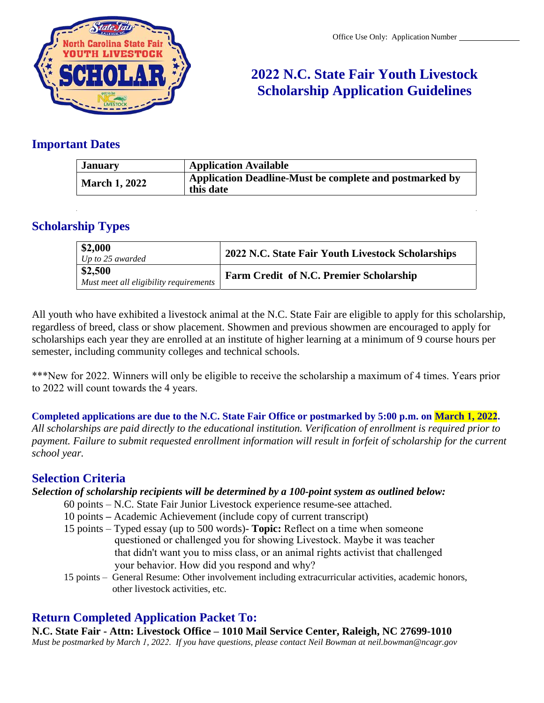

# **2022 N.C. State Fair Youth Livestock Scholarship Application Guidelines**

### **Important Dates**

| <b>January</b>       | <b>Application Available</b>                                         |
|----------------------|----------------------------------------------------------------------|
| <b>March 1, 2022</b> | Application Deadline-Must be complete and postmarked by<br>this date |

## **Scholarship Types**

| $\begin{array}{ c } \hline $2,000 \ Up \; to \; 25 \; awarded \end{array}$ | 2022 N.C. State Fair Youth Livestock Scholarships |
|----------------------------------------------------------------------------|---------------------------------------------------|
| \$2,500<br>Must meet all eligibility requirements                          | <b>Farm Credit of N.C. Premier Scholarship</b>    |

All youth who have exhibited a livestock animal at the N.C. State Fair are eligible to apply for this scholarship, regardless of breed, class or show placement. Showmen and previous showmen are encouraged to apply for scholarships each year they are enrolled at an institute of higher learning at a minimum of 9 course hours per semester, including community colleges and technical schools.

\*\*\*New for 2022. Winners will only be eligible to receive the scholarship a maximum of 4 times. Years prior to 2022 will count towards the 4 years.

**Completed applications are due to the N.C. State Fair Office or postmarked by 5:00 p.m. on March 1, 2022.** *All scholarships are paid directly to the educational institution. Verification of enrollment is required prior to payment. Failure to submit requested enrollment information will result in forfeit of scholarship for the current school year.*

## **Selection Criteria**

### *Selection of scholarship recipients will be determined by a 100-point system as outlined below:*

- 60 points N.C. State Fair Junior Livestock experience resume-see attached.
- 10 points **–** Academic Achievement (include copy of current transcript)
- 15 points Typed essay (up to 500 words)- **Topic:** Reflect on a time when someone questioned or challenged you for showing Livestock. Maybe it was teacher that didn't want you to miss class, or an animal rights activist that challenged your behavior. How did you respond and why?
- 15 points General Resume: Other involvement including extracurricular activities, academic honors, other livestock activities, etc.

## **Return Completed Application Packet To:**

**N.C. State Fair - Attn: Livestock Office – 1010 Mail Service Center, Raleigh, NC 27699-1010** *Must be postmarked by March 1, 2022. If you have questions, please contact Neil Bowman at [neil.bowman@ncagr.gov](mailto:neil.bowman@ncagr.gov)*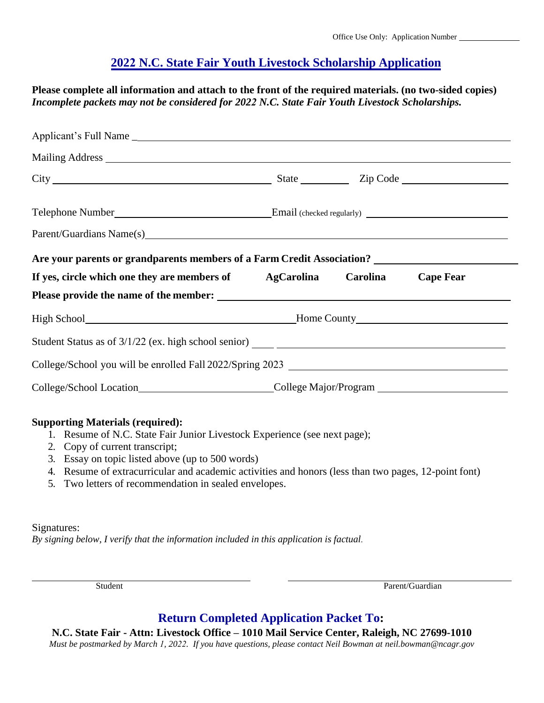## **2022 N.C. State Fair Youth Livestock Scholarship Application**

**Please complete all information and attach to the front of the required materials. (no two-sided copies)**  *Incomplete packets may not be considered for 2022 N.C. State Fair Youth Livestock Scholarships.*

| Parent/Guardians Name(s) 2012 12:00 12:00 12:00 12:00 12:00 12:00 12:00 12:00 12:00 12:00 12:00 12:00 12:00 12:00 12:00 12:00 12:00 12:00 12:00 12:00 12:00 12:00 12:00 12:00 12:00 12:00 12:00 12:00 12:00 12:00 12:00 12:00 |  |  |  |  |  |  |
|-------------------------------------------------------------------------------------------------------------------------------------------------------------------------------------------------------------------------------|--|--|--|--|--|--|
|                                                                                                                                                                                                                               |  |  |  |  |  |  |
|                                                                                                                                                                                                                               |  |  |  |  |  |  |
| If yes, circle which one they are members of AgCarolina Carolina Cape Fear                                                                                                                                                    |  |  |  |  |  |  |
|                                                                                                                                                                                                                               |  |  |  |  |  |  |
|                                                                                                                                                                                                                               |  |  |  |  |  |  |
|                                                                                                                                                                                                                               |  |  |  |  |  |  |
|                                                                                                                                                                                                                               |  |  |  |  |  |  |

### **Supporting Materials (required):**

- 1. Resume of N.C. State Fair Junior Livestock Experience (see next page);
- 2. Copy of current transcript;
- 3. Essay on topic listed above (up to 500 words)
- 4. Resume of extracurricular and academic activities and honors (less than two pages, 12-point font)
- 5. Two letters of recommendation in sealed envelopes.

#### Signatures:

*By signing below, I verify that the information included in this application is factual.*

Student Parent/Guardian

## **Return Completed Application Packet To:**

**N.C. State Fair - Attn: Livestock Office – 1010 Mail Service Center, Raleigh, NC 27699-1010** *Must be postmarked by March 1, 2022. If you have questions, please contact Neil Bowm[an at neil.bowman@ncagr.go](mailto:neil.bowman@ncagr.gov)v*